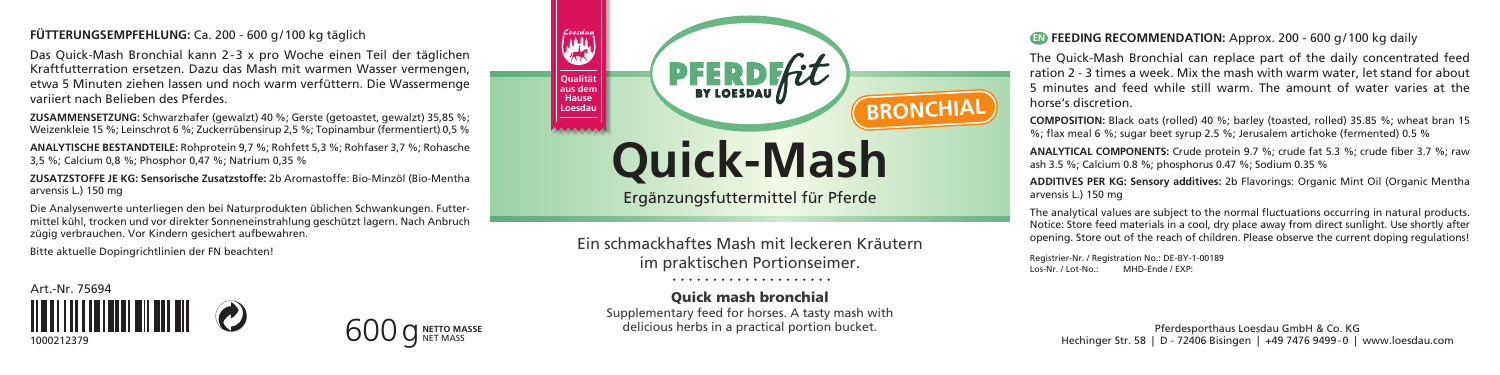## **FÜTTERUNGSEMPFEHLUNG:** Ca. 200 - 600 g/100 kg täglich

Das Quick-Mash Bronchial kann 2-3 x pro Woche einen Teil der täglichen Kraftfutterration ersetzen. Dazu das Mash mit warmen Wasser vermengen, etwa 5 Minuten ziehen lassen und noch warm verfüttern. Die Wassermenge variiert nach Belieben des Pferdes.

**ZUSAMMENSETZUNG:** Schwarzhafer (gewalzt) 40 %; Gerste (getoastet, gewalzt) 35,85 %; Weizenkleie 15 %; Leinschrot 6 %; Zuckerrübensirup 2,5 %; Topinambur (fermentiert) 0,5 %

**ANALYTISCHE BESTANDTEILE:** Rohprotein 9,7 %; Rohfett 5,3 %; Rohfaser 3,7 %; Rohasche 3,5 %; Calcium 0,8 %; Phosphor 0,47 %; Natrium 0,35 %

**ZUSATZSTOFFE JE KG: Sensorische Zusatzstoffe:** 2b Aromastoffe: Bio-Minzöl (Bio-Mentha arvensis L.) 150 mg

Die Analysenwerte unterliegen den bei Naturprodukten üblichen Schwankungen. Futtermittel kühl, trocken und vor direkter Sonneneinstrahlung geschützt lagern. Nach Anbruch zügig verbrauchen. Vor Kindern gesichert aufbewahren.

Bitte aktuelle Dopingrichtlinien der FN beachten!

Art.-Nr. 75694 <u> HIII DI HII DI </u> 1000212379



Ergänzungsfuttermittel für Pferde

Ein schmackhaftes Mash mit leckeren Kräutern im praktischen Portionseimer.

. . . . . . . . . . . . . . . . . . . .

# Quick mash bronchial

Supplementary feed for horses. A tasty mash with delicious herbs in a practical portion bucket.

## **EN FEEDING RECOMMENDATION:** Approx. 200 - 600 g/100 kg daily

The Quick-Mash Bronchial can replace part of the daily concentrated feed ration 2 - 3 times a week. Mix the mash with warm water, let stand for about 5 minutes and feed while still warm. The amount of water varies at the horse's discretion.

**COMPOSITION:** Black oats (rolled) 40 %; barley (toasted, rolled) 35.85 %; wheat bran 15 %; flax meal 6 %; sugar beet syrup 2.5 %; Jerusalem artichoke (fermented) 0.5 %

**ANALYTICAL COMPONENTS:** Crude protein 9.7 %; crude fat 5.3 %; crude fiber 3.7 %; raw ash 3.5 %; Calcium 0.8 %; phosphorus 0.47 %; Sodium 0.35 %

**ADDITIVES PER KG: Sensory additives:** 2b Flavorings: Organic Mint Oil (Organic Mentha arvensis L.) 150 mg

The analytical values are subject to the normal fluctuations occurring in natural products. Notice: Store feed materials in a cool, dry place away from direct sunlight. Use shortly after opening. Store out of the reach of children. Please observe the current doping regulations!

Registrier-Nr. / Registration No.: DE-BY-1-00189<br>Los-Nr. / Lot-No.: MHD-Ende / EXP-MHD-Ende / EXP-

> Pferdesporthaus Loesdau GmbH & Co. KG Hechinger Str. 58 | D - 72406 Bisingen | +49 7476 9499-0 | www.loesdau.com